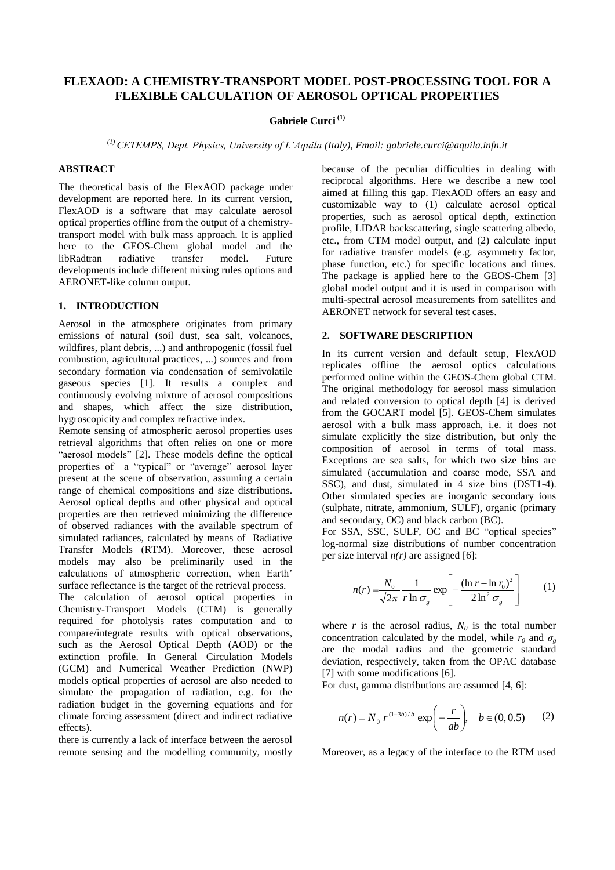# **FLEXAOD: A CHEMISTRY-TRANSPORT MODEL POST-PROCESSING TOOL FOR A FLEXIBLE CALCULATION OF AEROSOL OPTICAL PROPERTIES**

# **Gabriele Curci (1)**

*(1) CETEMPS, Dept. Physics, University of L'Aquila (Italy), Email: gabriele.curci@aquila.infn.it*

## **ABSTRACT**

The theoretical basis of the FlexAOD package under development are reported here. In its current version, FlexAOD is a software that may calculate aerosol optical properties offline from the output of a chemistrytransport model with bulk mass approach. It is applied here to the GEOS-Chem global model and the libRadtran radiative transfer model. Future libRadtran developments include different mixing rules options and AERONET-like column output.

### **1. INTRODUCTION**

Aerosol in the atmosphere originates from primary emissions of natural (soil dust, sea salt, volcanoes, wildfires, plant debris, ...) and anthropogenic (fossil fuel combustion, agricultural practices, ...) sources and from secondary formation via condensation of semivolatile gaseous species [1]. It results a complex and continuously evolving mixture of aerosol compositions and shapes, which affect the size distribution, hygroscopicity and complex refractive index.

Remote sensing of atmospheric aerosol properties uses retrieval algorithms that often relies on one or more "aerosol models" [2]. These models define the optical properties of a "typical" or "average" aerosol layer present at the scene of observation, assuming a certain range of chemical compositions and size distributions. Aerosol optical depths and other physical and optical properties are then retrieved minimizing the difference of observed radiances with the available spectrum of simulated radiances, calculated by means of Radiative Transfer Models (RTM). Moreover, these aerosol models may also be preliminarily used in the calculations of atmospheric correction, when Earth' surface reflectance is the target of the retrieval process.

The calculation of aerosol optical properties in Chemistry-Transport Models (CTM) is generally required for photolysis rates computation and to compare/integrate results with optical observations, such as the Aerosol Optical Depth (AOD) or the extinction profile. In General Circulation Models (GCM) and Numerical Weather Prediction (NWP) models optical properties of aerosol are also needed to simulate the propagation of radiation, e.g. for the radiation budget in the governing equations and for climate forcing assessment (direct and indirect radiative effects).

there is currently a lack of interface between the aerosol remote sensing and the modelling community, mostly because of the peculiar difficulties in dealing with reciprocal algorithms. Here we describe a new tool aimed at filling this gap. FlexAOD offers an easy and customizable way to (1) calculate aerosol optical properties, such as aerosol optical depth, extinction profile, LIDAR backscattering, single scattering albedo, etc., from CTM model output, and (2) calculate input for radiative transfer models (e.g. asymmetry factor, phase function, etc.) for specific locations and times. The package is applied here to the GEOS-Chem [3] global model output and it is used in comparison with multi-spectral aerosol measurements from satellites and AERONET network for several test cases.

#### **2. SOFTWARE DESCRIPTION**

In its current version and default setup, FlexAOD replicates offline the aerosol optics calculations performed online within the GEOS-Chem global CTM. The original methodology for aerosol mass simulation and related conversion to optical depth [4] is derived from the GOCART model [5]. GEOS-Chem simulates aerosol with a bulk mass approach, i.e. it does not simulate explicitly the size distribution, but only the composition of aerosol in terms of total mass. Exceptions are sea salts, for which two size bins are simulated (accumulation and coarse mode, SSA and SSC), and dust, simulated in 4 size bins (DST1-4). Other simulated species are inorganic secondary ions (sulphate, nitrate, ammonium, SULF), organic (primary and secondary, OC) and black carbon (BC).

For SSA, SSC, SULF, OC and BC "optical species" log-normal size distributions of number concentration per size interval  $n(r)$  are assigned [6]:

$$
n(r) = \frac{N_0}{\sqrt{2\pi}} \frac{1}{r \ln \sigma_g} \exp\left[-\frac{(\ln r - \ln r_0)^2}{2 \ln^2 \sigma_g}\right] \tag{1}
$$

where *r* is the aerosol radius,  $N_0$  is the total number concentration calculated by the model, while  $r_0$  and  $\sigma_g$ are the modal radius and the geometric standard deviation, respectively, taken from the OPAC database [7] with some modifications [6].

For dust, gamma distributions are assumed [4, 6]:

$$
n(r) = N_0 \ r^{(1-3b)/b} \ \exp\left(-\frac{r}{ab}\right), \quad b \in (0, 0.5) \tag{2}
$$

Moreover, as a legacy of the interface to the RTM used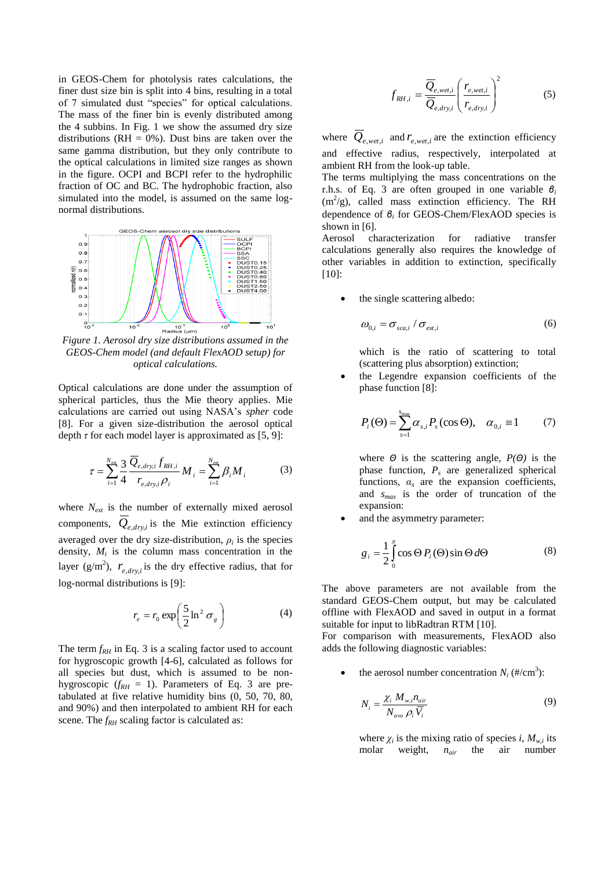in GEOS-Chem for photolysis rates calculations, the finer dust size bin is split into 4 bins, resulting in a total of 7 simulated dust "species" for optical calculations. The mass of the finer bin is evenly distributed among the 4 subbins. In Fig. 1 we show the assumed dry size distributions ( $RH = 0\%$ ). Dust bins are taken over the same gamma distribution, but they only contribute to the optical calculations in limited size ranges as shown in the figure. OCPI and BCPI refer to the hydrophilic fraction of OC and BC. The hydrophobic fraction, also simulated into the model, is assumed on the same lognormal distributions.



*Figure 1. Aerosol dry size distributions assumed in the GEOS-Chem model (and default FlexAOD setup) for optical calculations.*

Optical calculations are done under the assumption of spherical particles, thus the Mie theory applies. Mie calculations are carried out using NASA's *spher* code [8]. For a given size-distribution the aerosol optical depth  $\tau$  for each model layer is approximated as [5, 9]:

$$
\tau = \sum_{i=1}^{N_{ex}} \frac{3}{4} \frac{\overline{Q}_{e,dry,i} f_{RH,i}}{r_{e,dry,i} \rho_i} M_i = \sum_{i=1}^{N_{ex}} \beta_i M_i
$$
 (3)

where *Next* is the number of externally mixed aerosol components,  $Q_{e, dry,i}$  is the Mie extinction efficiency averaged over the dry size-distribution,  $\rho_i$  is the species density,  $M_i$  is the column mass concentration in the layer ( $g/m^2$ ),  $r_{e, dry,i}$  is the dry effective radius, that for log-normal distributions is [9]:

$$
r_e = r_0 \exp\left(\frac{5}{2} \ln^2 \sigma_g\right) \tag{4}
$$

The term  $f_{RH}$  in Eq. 3 is a scaling factor used to account for hygroscopic growth [4-6], calculated as follows for all species but dust, which is assumed to be nonhygroscopic ( $f_{RH} = 1$ ). Parameters of Eq. 3 are pretabulated at five relative humidity bins (0, 50, 70, 80, and 90%) and then interpolated to ambient RH for each scene. The  $f_{RH}$  scaling factor is calculated as:

$$
f_{RH,i} = \frac{\overline{Q}_{e, wet,i}}{\overline{Q}_{e, dry,i}} \left(\frac{r_{e, wet,i}}{r_{e, dry,i}}\right)^2
$$
 (5)

where  $Q_{e, wet, i}$  and  $r_{e, wet, i}$  are the extinction efficiency and effective radius, respectively, interpolated at ambient RH from the look-up table.

The terms multiplying the mass concentrations on the r.h.s. of Eq. 3 are often grouped in one variable *β<sup>i</sup>*  $(m^2/g)$ , called mass extinction efficiency. The RH dependence of *β<sup>i</sup>* for GEOS-Chem/FlexAOD species is shown in [6].

Aerosol characterization for radiative transfer calculations generally also requires the knowledge of other variables in addition to extinction, specifically [10]:

the single scattering albedo:

$$
\omega_{0,i} = \sigma_{sca,i} / \sigma_{ext,i} \tag{6}
$$

which is the ratio of scattering to total (scattering plus absorption) extinction;

 the Legendre expansion coefficients of the phase function [8]:

$$
P_i(\Theta) = \sum_{s=1}^{s_{\text{max}}} \alpha_{s,i} P_s(\cos \Theta), \quad \alpha_{0,i} \equiv 1 \tag{7}
$$

where *Θ* is the scattering angle, *P(Θ)* is the phase function, *P<sup>s</sup>* are generalized spherical functions,  $\alpha_s$  are the expansion coefficients, and *smax* is the order of truncation of the expansion:

and the asymmetry parameter:

$$
g_i = \frac{1}{2} \int_0^{\pi} \cos \Theta P_i(\Theta) \sin \Theta d\Theta \tag{8}
$$

The above parameters are not available from the standard GEOS-Chem output, but may be calculated offline with FlexAOD and saved in output in a format suitable for input to libRadtran RTM [10].

For comparison with measurements, FlexAOD also adds the following diagnostic variables:

• the aerosol number concentration  $N_i$  (#/cm<sup>3</sup>):

$$
N_i = \frac{\chi_i M_{w,i} n_{air}}{N_{avo} \rho_i \overline{V_i}}
$$
\n(9)

where  $\chi_i$  is the mixing ratio of species *i*,  $M_{w,i}$  its molar weight, *nair* the air number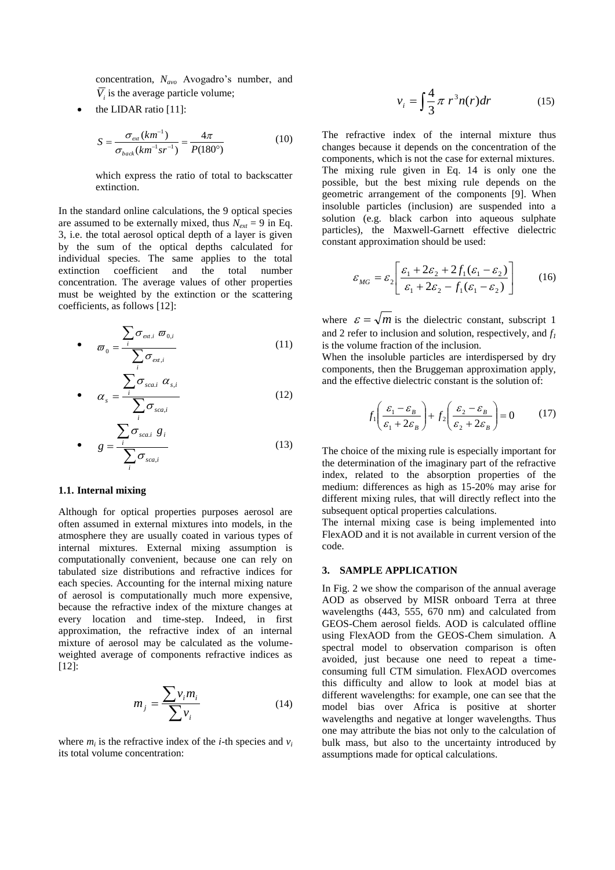concentration, *Navo* Avogadro's number, and  $V_i$  is the average particle volume;

the LIDAR ratio [11]:

$$
S = \frac{\sigma_{\text{ext}}(km^{-1})}{\sigma_{\text{back}}(km^{-1}sr^{-1})} = \frac{4\pi}{P(180^{\circ})}
$$
(10)

which express the ratio of total to backscatter extinction.

In the standard online calculations, the 9 optical species are assumed to be externally mixed, thus  $N_{ext} = 9$  in Eq. 3, i.e. the total aerosol optical depth of a layer is given by the sum of the optical depths calculated for individual species. The same applies to the total extinction coefficient and the total number concentration. The average values of other properties must be weighted by the extinction or the scattering coefficients, as follows [12]:

• 
$$
\boldsymbol{\varpi}_{0} = \frac{\sum_{i} \sigma_{ext,i} \boldsymbol{\varpi}_{0,i}}{\sum_{i} \sigma_{ext,i}}
$$
(11)

• 
$$
\alpha_s = \frac{\sum_{i} \sigma_{sca,i} \alpha_{s,i}}{\sum_{i} \sigma_{sca,i}}
$$
 (12)

$$
\bullet \qquad g = \frac{\sum_{i} \sigma_{sca,i} g_i}{\sum_{i} \sigma_{sca,i}} \tag{13}
$$

#### **1.1. Internal mixing**

Although for optical properties purposes aerosol are often assumed in external mixtures into models, in the atmosphere they are usually coated in various types of internal mixtures. External mixing assumption is computationally convenient, because one can rely on tabulated size distributions and refractive indices for each species. Accounting for the internal mixing nature of aerosol is computationally much more expensive, because the refractive index of the mixture changes at every location and time-step. Indeed, in first approximation, the refractive index of an internal mixture of aerosol may be calculated as the volumeweighted average of components refractive indices as [12]:

$$
m_j = \frac{\sum v_i m_i}{\sum v_i} \tag{14}
$$

where  $m_i$  is the refractive index of the *i*-th species and  $v_i$ its total volume concentration:

$$
v_i = \int \frac{4}{3} \pi r^3 n(r) dr \qquad (15)
$$

The refractive index of the internal mixture thus changes because it depends on the concentration of the components, which is not the case for external mixtures. The mixing rule given in Eq. 14 is only one the possible, but the best mixing rule depends on the geometric arrangement of the components [9]. When insoluble particles (inclusion) are suspended into a solution (e.g. black carbon into aqueous sulphate particles), the Maxwell-Garnett effective dielectric constant approximation should be used:

$$
\varepsilon_{MG} = \varepsilon_2 \left[ \frac{\varepsilon_1 + 2\varepsilon_2 + 2f_1(\varepsilon_1 - \varepsilon_2)}{\varepsilon_1 + 2\varepsilon_2 - f_1(\varepsilon_1 - \varepsilon_2)} \right] \tag{16}
$$

where  $\varepsilon = \sqrt{m}$  is the dielectric constant, subscript 1 and 2 refer to inclusion and solution, respectively, and *f<sup>1</sup>* is the volume fraction of the inclusion.

When the insoluble particles are interdispersed by dry components, then the Bruggeman approximation apply, and the effective dielectric constant is the solution of:

$$
f_1\left(\frac{\varepsilon_1 - \varepsilon_B}{\varepsilon_1 + 2\varepsilon_B}\right) + f_2\left(\frac{\varepsilon_2 - \varepsilon_B}{\varepsilon_2 + 2\varepsilon_B}\right) = 0\tag{17}
$$

The choice of the mixing rule is especially important for the determination of the imaginary part of the refractive index, related to the absorption properties of the medium: differences as high as 15-20% may arise for different mixing rules, that will directly reflect into the subsequent optical properties calculations.

The internal mixing case is being implemented into FlexAOD and it is not available in current version of the code.

### **3. SAMPLE APPLICATION**

In Fig. 2 we show the comparison of the annual average AOD as observed by MISR onboard Terra at three wavelengths (443, 555, 670 nm) and calculated from GEOS-Chem aerosol fields. AOD is calculated offline using FlexAOD from the GEOS-Chem simulation. A spectral model to observation comparison is often avoided, just because one need to repeat a timeconsuming full CTM simulation. FlexAOD overcomes this difficulty and allow to look at model bias at different wavelengths: for example, one can see that the model bias over Africa is positive at shorter wavelengths and negative at longer wavelengths. Thus one may attribute the bias not only to the calculation of bulk mass, but also to the uncertainty introduced by assumptions made for optical calculations.